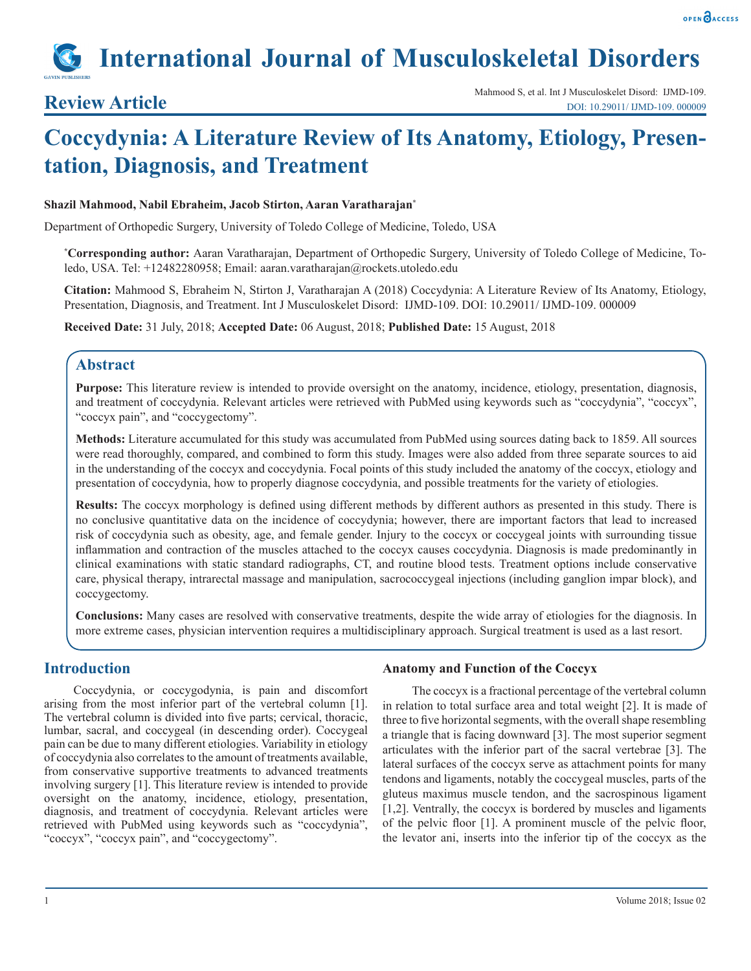

# **International Journal of Musculoskeletal Disorders**

# **Coccydynia: A Literature Review of Its Anatomy, Etiology, Presentation, Diagnosis, and Treatment**

#### **Shazil Mahmood, Nabil Ebraheim, Jacob Stirton, Aaran Varatharajan\***

Department of Orthopedic Surgery, University of Toledo College of Medicine, Toledo, USA

**\* Corresponding author:** Aaran Varatharajan, Department of Orthopedic Surgery, University of Toledo College of Medicine, Toledo, USA. Tel: +12482280958; Email: aaran.varatharajan@rockets.utoledo.edu

**Citation:** Mahmood S, Ebraheim N, Stirton J, Varatharajan A (2018) Coccydynia: A Literature Review of Its Anatomy, Etiology, Presentation, Diagnosis, and Treatment. Int J Musculoskelet Disord: IJMD-109. DOI: 10.29011/ IJMD-109. 000009

**Received Date:** 31 July, 2018; **Accepted Date:** 06 August, 2018; **Published Date:** 15 August, 2018

### **Abstract**

**Purpose:** This literature review is intended to provide oversight on the anatomy, incidence, etiology, presentation, diagnosis, and treatment of coccydynia. Relevant articles were retrieved with PubMed using keywords such as "coccydynia", "coccyx", "coccyx pain", and "coccygectomy".

**Methods:** Literature accumulated for this study was accumulated from PubMed using sources dating back to 1859. All sources were read thoroughly, compared, and combined to form this study. Images were also added from three separate sources to aid in the understanding of the coccyx and coccydynia. Focal points of this study included the anatomy of the coccyx, etiology and presentation of coccydynia, how to properly diagnose coccydynia, and possible treatments for the variety of etiologies.

**Results:** The coccyx morphology is defined using different methods by different authors as presented in this study. There is no conclusive quantitative data on the incidence of coccydynia; however, there are important factors that lead to increased risk of coccydynia such as obesity, age, and female gender. Injury to the coccyx or coccygeal joints with surrounding tissue inflammation and contraction of the muscles attached to the coccyx causes coccydynia. Diagnosis is made predominantly in clinical examinations with static standard radiographs, CT, and routine blood tests. Treatment options include conservative care, physical therapy, intrarectal massage and manipulation, sacrococcygeal injections (including ganglion impar block), and coccygectomy.

**Conclusions:** Many cases are resolved with conservative treatments, despite the wide array of etiologies for the diagnosis. In more extreme cases, physician intervention requires a multidisciplinary approach. Surgical treatment is used as a last resort.

# **Introduction**

Coccydynia, or coccygodynia, is pain and discomfort arising from the most inferior part of the vertebral column [1]. The vertebral column is divided into five parts; cervical, thoracic, lumbar, sacral, and coccygeal (in descending order). Coccygeal pain can be due to many different etiologies. Variability in etiology of coccydynia also correlates to the amount of treatments available, from conservative supportive treatments to advanced treatments involving surgery [1]. This literature review is intended to provide oversight on the anatomy, incidence, etiology, presentation, diagnosis, and treatment of coccydynia. Relevant articles were retrieved with PubMed using keywords such as "coccydynia", "coccyx", "coccyx pain", and "coccygectomy".

#### **Anatomy and Function of the Coccyx**

The coccyx is a fractional percentage of the vertebral column in relation to total surface area and total weight [2]. It is made of three to five horizontal segments, with the overall shape resembling a triangle that is facing downward [3]. The most superior segment articulates with the inferior part of the sacral vertebrae [3]. The lateral surfaces of the coccyx serve as attachment points for many tendons and ligaments, notably the coccygeal muscles, parts of the gluteus maximus muscle tendon, and the sacrospinous ligament [1,2]. Ventrally, the coccyx is bordered by muscles and ligaments of the pelvic floor [1]. A prominent muscle of the pelvic floor, the levator ani, inserts into the inferior tip of the coccyx as the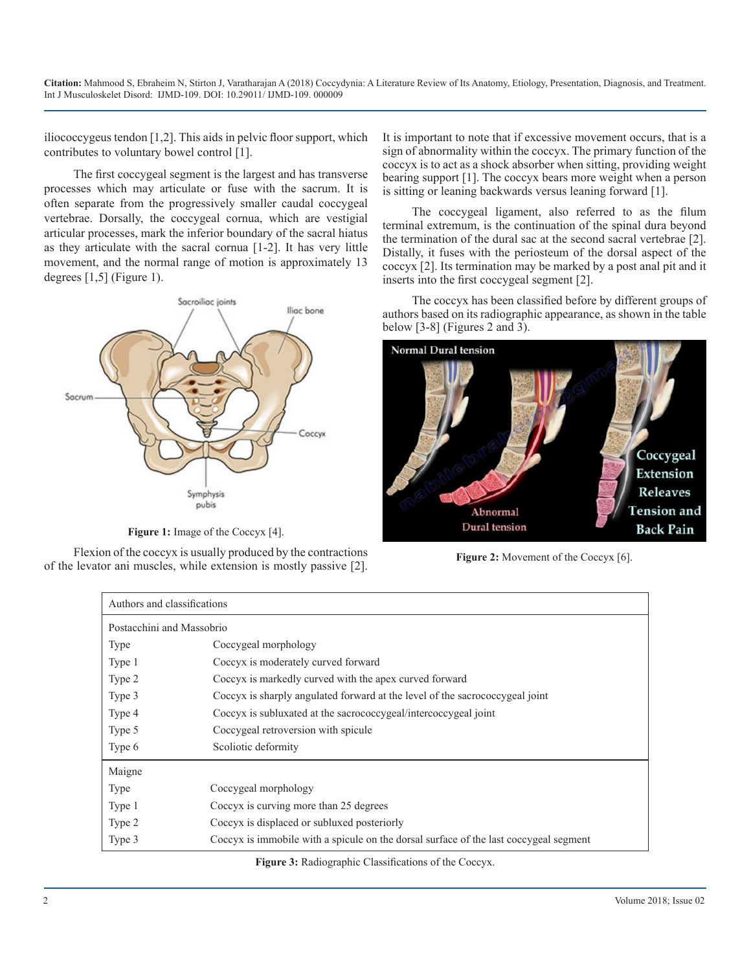iliococcygeus tendon [1,2]. This aids in pelvic floor support, which contributes to voluntary bowel control [1].

The first coccygeal segment is the largest and has transverse processes which may articulate or fuse with the sacrum. It is often separate from the progressively smaller caudal coccygeal vertebrae. Dorsally, the coccygeal cornua, which are vestigial articular processes, mark the inferior boundary of the sacral hiatus as they articulate with the sacral cornua [1-2]. It has very little movement, and the normal range of motion is approximately 13 degrees  $[1,5]$  (Figure 1).



Figure 1: Image of the Coccyx [4].

Flexion of the coccyx is usually produced by the contractions of the levator ani muscles, while extension is mostly passive [2]. It is important to note that if excessive movement occurs, that is a sign of abnormality within the coccyx. The primary function of the coccyx is to act as a shock absorber when sitting, providing weight bearing support [1]. The coccyx bears more weight when a person is sitting or leaning backwards versus leaning forward [1].

The coccygeal ligament, also referred to as the filum terminal extremum, is the continuation of the spinal dura beyond the termination of the dural sac at the second sacral vertebrae [2]. Distally, it fuses with the periosteum of the dorsal aspect of the coccyx [2]. Its termination may be marked by a post anal pit and it inserts into the first coccygeal segment [2].

The coccyx has been classified before by different groups of authors based on its radiographic appearance, as shown in the table below [3-8] (Figures 2 and 3).



**Figure 2:** Movement of the Coccyx [6].

| Authors and classifications |                                                                                       |
|-----------------------------|---------------------------------------------------------------------------------------|
| Postacchini and Massobrio   |                                                                                       |
| <b>Type</b>                 | Coccygeal morphology                                                                  |
| Type 1                      | Coccyx is moderately curved forward                                                   |
| Type 2                      | Coccyx is markedly curved with the apex curved forward                                |
| Type 3                      | Coccyx is sharply angulated forward at the level of the sacrococcygeal joint          |
| Type 4                      | Coccyx is subluxated at the sacrococcygeal/intercoccygeal joint                       |
| Type 5                      | Coccygeal retroversion with spicule                                                   |
| Type 6                      | Scoliotic deformity                                                                   |
| Maigne                      |                                                                                       |
| Type                        | Coccygeal morphology                                                                  |
| Type 1                      | Coccyx is curving more than 25 degrees                                                |
| Type 2                      | Coccyx is displaced or subluxed posteriorly                                           |
| Type 3                      | Coccyx is immobile with a spicule on the dorsal surface of the last coccygeal segment |

**Figure 3:** Radiographic Classifications of the Coccyx.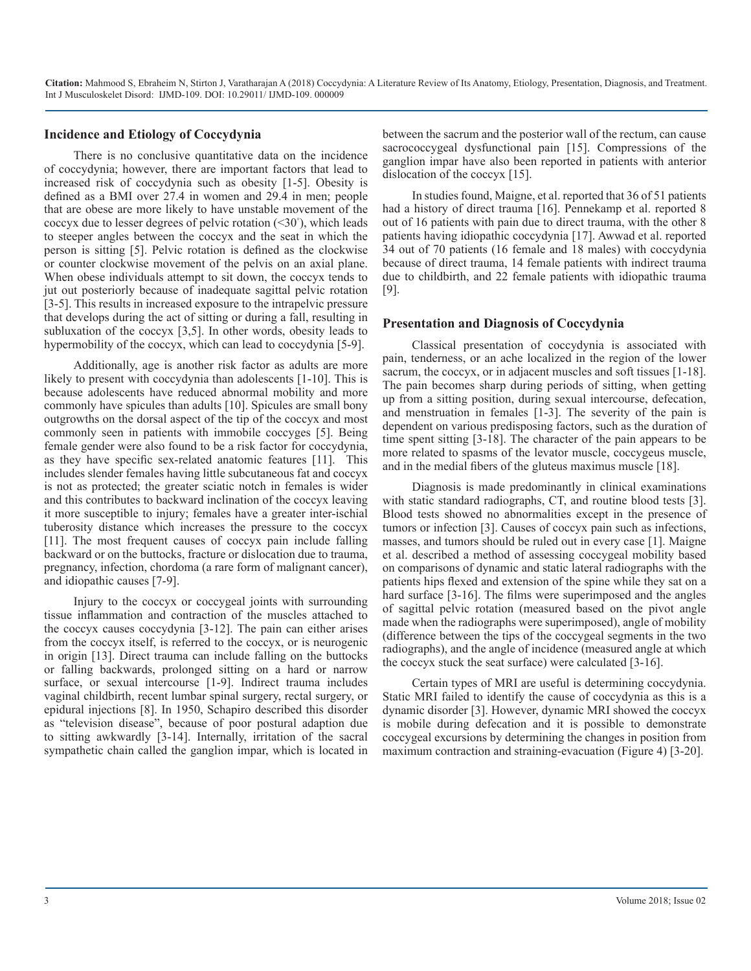#### **Incidence and Etiology of Coccydynia**

There is no conclusive quantitative data on the incidence of coccydynia; however, there are important factors that lead to increased risk of coccydynia such as obesity [1-5]. Obesity is defined as a BMI over 27.4 in women and 29.4 in men; people that are obese are more likely to have unstable movement of the coccyx due to lesser degrees of pelvic rotation  $(\leq 30^{\circ})$ , which leads to steeper angles between the coccyx and the seat in which the person is sitting [5]. Pelvic rotation is defined as the clockwise or counter clockwise movement of the pelvis on an axial plane. When obese individuals attempt to sit down, the coccyx tends to jut out posteriorly because of inadequate sagittal pelvic rotation [3-5]. This results in increased exposure to the intrapelvic pressure that develops during the act of sitting or during a fall, resulting in subluxation of the coccyx [3,5]. In other words, obesity leads to hypermobility of the coccyx, which can lead to coccydynia [5-9].

Additionally, age is another risk factor as adults are more likely to present with coccydynia than adolescents [1-10]. This is because adolescents have reduced abnormal mobility and more commonly have spicules than adults [10]. Spicules are small bony outgrowths on the dorsal aspect of the tip of the coccyx and most commonly seen in patients with immobile coccyges [5]. Being female gender were also found to be a risk factor for coccydynia, as they have specific sex-related anatomic features [11]. This includes slender females having little subcutaneous fat and coccyx is not as protected; the greater sciatic notch in females is wider and this contributes to backward inclination of the coccyx leaving it more susceptible to injury; females have a greater inter-ischial tuberosity distance which increases the pressure to the coccyx [11]. The most frequent causes of coccyx pain include falling backward or on the buttocks, fracture or dislocation due to trauma, pregnancy, infection, chordoma (a rare form of malignant cancer), and idiopathic causes [7-9].

Injury to the coccyx or coccygeal joints with surrounding tissue inflammation and contraction of the muscles attached to the coccyx causes coccydynia [3-12]. The pain can either arises from the coccyx itself, is referred to the coccyx, or is neurogenic in origin [13]. Direct trauma can include falling on the buttocks or falling backwards, prolonged sitting on a hard or narrow surface, or sexual intercourse [1-9]. Indirect trauma includes vaginal childbirth, recent lumbar spinal surgery, rectal surgery, or epidural injections [8]. In 1950, Schapiro described this disorder as "television disease", because of poor postural adaption due to sitting awkwardly [3-14]. Internally, irritation of the sacral sympathetic chain called the ganglion impar, which is located in between the sacrum and the posterior wall of the rectum, can cause sacrococcygeal dysfunctional pain [15]. Compressions of the ganglion impar have also been reported in patients with anterior dislocation of the coccyx [15].

In studies found, Maigne, et al. reported that 36 of 51 patients had a history of direct trauma [16]. Pennekamp et al. reported 8 out of 16 patients with pain due to direct trauma, with the other 8 patients having idiopathic coccydynia [17]. Awwad et al. reported 34 out of 70 patients (16 female and 18 males) with coccydynia because of direct trauma, 14 female patients with indirect trauma due to childbirth, and 22 female patients with idiopathic trauma [9].

#### **Presentation and Diagnosis of Coccydynia**

Classical presentation of coccydynia is associated with pain, tenderness, or an ache localized in the region of the lower sacrum, the coccyx, or in adjacent muscles and soft tissues [1-18]. The pain becomes sharp during periods of sitting, when getting up from a sitting position, during sexual intercourse, defecation, and menstruation in females [1-3]. The severity of the pain is dependent on various predisposing factors, such as the duration of time spent sitting [3-18]. The character of the pain appears to be more related to spasms of the levator muscle, coccygeus muscle, and in the medial fibers of the gluteus maximus muscle [18].

Diagnosis is made predominantly in clinical examinations with static standard radiographs, CT, and routine blood tests [3]. Blood tests showed no abnormalities except in the presence of tumors or infection [3]. Causes of coccyx pain such as infections, masses, and tumors should be ruled out in every case [1]. Maigne et al. described a method of assessing coccygeal mobility based on comparisons of dynamic and static lateral radiographs with the patients hips flexed and extension of the spine while they sat on a hard surface [3-16]. The films were superimposed and the angles of sagittal pelvic rotation (measured based on the pivot angle made when the radiographs were superimposed), angle of mobility (difference between the tips of the coccygeal segments in the two radiographs), and the angle of incidence (measured angle at which the coccyx stuck the seat surface) were calculated [3-16].

Certain types of MRI are useful is determining coccydynia. Static MRI failed to identify the cause of coccydynia as this is a dynamic disorder [3]. However, dynamic MRI showed the coccyx is mobile during defecation and it is possible to demonstrate coccygeal excursions by determining the changes in position from maximum contraction and straining-evacuation (Figure 4) [3-20].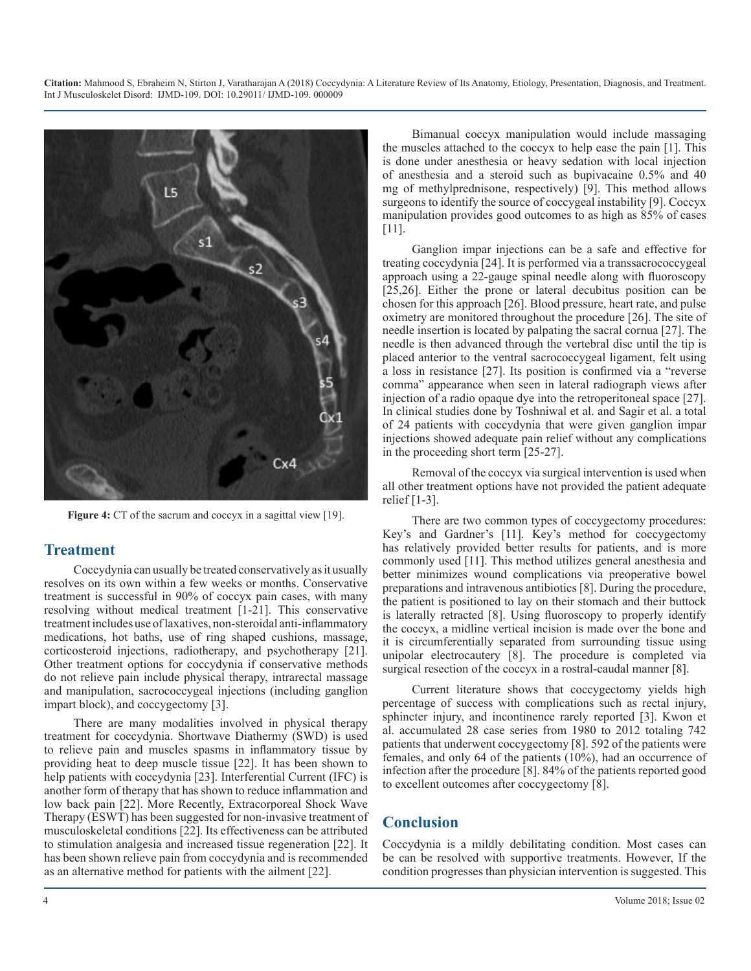

**Figure 4:** CT of the sacrum and coccyx in a sagittal view [19].

### **Treatment**

Coccydynia can usually be treated conservatively as it usually resolves on its own within a few weeks or months. Conservative treatment is successful in 90% of coccyx pain cases, with many resolving without medical treatment [1-21]. This conservative treatment includes use of laxatives, non-steroidal anti-inflammatory medications, hot baths, use of ring shaped cushions, massage, corticosteroid injections, radiotherapy, and psychotherapy [21]. Other treatment options for coccydynia if conservative methods do not relieve pain include physical therapy, intrarectal massage and manipulation, sacrococcygeal injections (including ganglion impart block), and coccygectomy [3].

There are many modalities involved in physical therapy treatment for coccydynia. Shortwave Diathermy (SWD) is used to relieve pain and muscles spasms in inflammatory tissue by providing heat to deep muscle tissue [22]. It has been shown to help patients with coccydynia [23]. Interferential Current (IFC) is another form of therapy that has shown to reduce inflammation and low back pain [22]. More Recently, Extracorporeal Shock Wave Therapy (ESWT) has been suggested for non-invasive treatment of musculoskeletal conditions [22]. Its effectiveness can be attributed to stimulation analgesia and increased tissue regeneration [22]. It has been shown relieve pain from coccydynia and is recommended as an alternative method for patients with the ailment [22].

Bimanual coccyx manipulation would include massaging the muscles attached to the coccyx to help ease the pain [1]. This is done under anesthesia or heavy sedation with local injection of anesthesia and a steroid such as bupivacaine 0.5% and 40 mg of methylprednisone, respectively) [9]. This method allows surgeons to identify the source of coccygeal instability [9]. Coccyx manipulation provides good outcomes to as high as 85% of cases [11].

Ganglion impar injections can be a safe and effective for treating coccydynia [24]. It is performed via a transsacrococcygeal approach using a 22-gauge spinal needle along with fluoroscopy [25,26]. Either the prone or lateral decubitus position can be chosen for this approach [26]. Blood pressure, heart rate, and pulse oximetry are monitored throughout the procedure [26]. The site of needle insertion is located by palpating the sacral cornua [27]. The needle is then advanced through the vertebral disc until the tip is placed anterior to the ventral sacrococcygeal ligament, felt using a loss in resistance [27]. Its position is confirmed via a "reverse comma" appearance when seen in lateral radiograph views after injection of a radio opaque dye into the retroperitoneal space [27]. In clinical studies done by Toshniwal et al. and Sagir et al. a total of 24 patients with coccydynia that were given ganglion impar injections showed adequate pain relief without any complications in the proceeding short term [25-27].

Removal of the coccyx via surgical intervention is used when all other treatment options have not provided the patient adequate relief  $[1-3]$ .

There are two common types of coccygectomy procedures: Key's and Gardner's [11]. Key's method for coccygectomy has relatively provided better results for patients, and is more commonly used [11]. This method utilizes general anesthesia and better minimizes wound complications via preoperative bowel preparations and intravenous antibiotics [8]. During the procedure, the patient is positioned to lay on their stomach and their buttock is laterally retracted [8]. Using fluoroscopy to properly identify the coccyx, a midline vertical incision is made over the bone and it is circumferentially separated from surrounding tissue using unipolar electrocautery [8]. The procedure is completed via surgical resection of the coccyx in a rostral-caudal manner [8].

Current literature shows that coccygectomy yields high percentage of success with complications such as rectal injury, sphincter injury, and incontinence rarely reported [3]. Kwon et al. accumulated 28 case series from 1980 to 2012 totaling 742 patients that underwent coccygectomy [8]. 592 of the patients were females, and only 64 of the patients (10%), had an occurrence of infection after the procedure [8]. 84% of the patients reported good to excellent outcomes after coccygectomy [8].

# **Conclusion**

Coccydynia is a mildly debilitating condition. Most cases can be can be resolved with supportive treatments. However, If the condition progresses than physician intervention is suggested. This